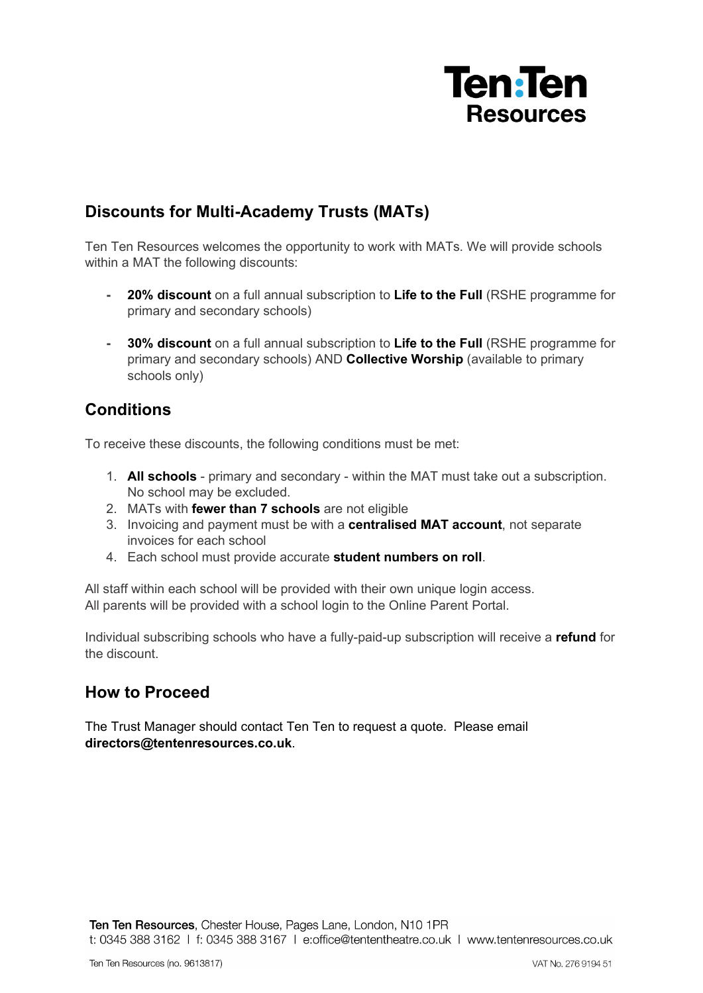

## **Discounts for Multi-Academy Trusts (MATs)**

Ten Ten Resources welcomes the opportunity to work with MATs. We will provide schools within a MAT the following discounts:

- **- 20% discount** on a full annual subscription to **Life to the Full** (RSHE programme for primary and secondary schools)
- **- 30% discount** on a full annual subscription to **Life to the Full** (RSHE programme for primary and secondary schools) AND **Collective Worship** (available to primary schools only)

## **Conditions**

To receive these discounts, the following conditions must be met:

- 1. **All schools** primary and secondary within the MAT must take out a subscription. No school may be excluded.
- 2. MATs with **fewer than 7 schools** are not eligible
- 3. Invoicing and payment must be with a **centralised MAT account**, not separate invoices for each school
- 4. Each school must provide accurate **student numbers on roll**.

All staff within each school will be provided with their own unique login access. All parents will be provided with a school login to the Online Parent Portal.

Individual subscribing schools who have a fully-paid-up subscription will receive a **refund** for the discount.

## **How to Proceed**

The Trust Manager should contact Ten Ten to request a quote. Please email **directors@tentenresources.co.uk**.